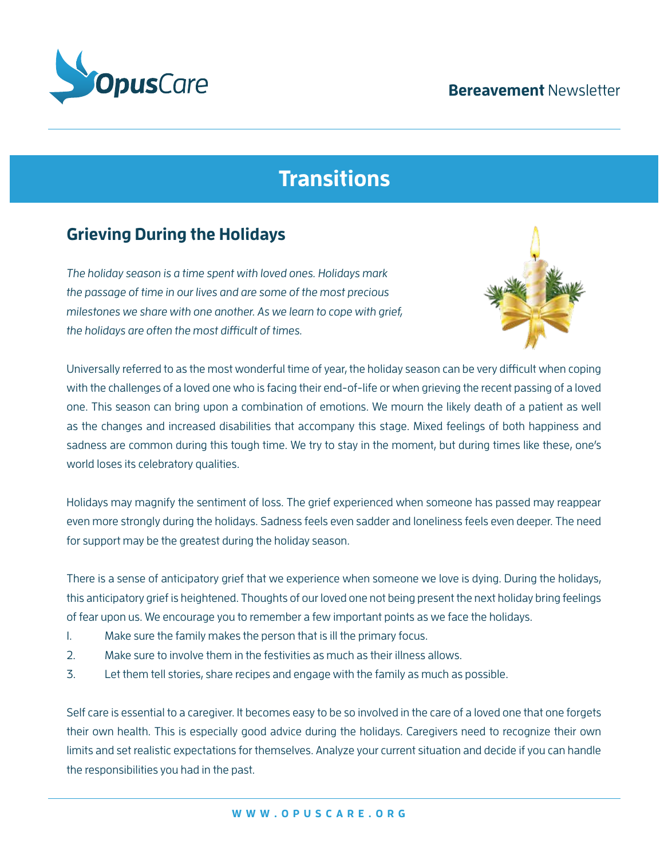#### **Bereavement** Newsletter



# **Transitions**

## **Grieving During the Holidays**

The holiday season is a time spent with loved ones. Holidays mark the passage of time in our lives and are some of the most precious milestones we share with one another. As we learn to cope with grief, the holidays are often the most difficult of times.



Universally referred to as the most wonderful time of year, the holiday season can be very difficult when coping with the challenges of a loved one who is facing their end-of-life or when grieving the recent passing of a loved one. This season can bring upon a combination of emotions. We mourn the likely death of a patient as well as the changes and increased disabilities that accompany this stage. Mixed feelings of both happiness and sadness are common during this tough time. We try to stay in the moment, but during times like these, one's world loses its celebratory qualities.

Holidays may magnify the sentiment of loss. The grief experienced when someone has passed may reappear even more strongly during the holidays. Sadness feels even sadder and loneliness feels even deeper. The need for support may be the greatest during the holiday season.

There is a sense of anticipatory grief that we experience when someone we love is dying. During the holidays, this anticipatory grief is heightened. Thoughts of our loved one not being present the next holiday bring feelings of fear upon us. We encourage you to remember a few important points as we face the holidays.

- 1. Make sure the family makes the person that is ill the primary focus.
- 2. Make sure to involve them in the festivities as much as their illness allows.
- 3. Let them tell stories, share recipes and engage with the family as much as possible.

Self care is essential to a caregiver. It becomes easy to be so involved in the care of a loved one that one forgets their own health. This is especially good advice during the holidays. Caregivers need to recognize their own limits and set realistic expectations for themselves. Analyze your current situation and decide if you can handle the responsibilities you had in the past.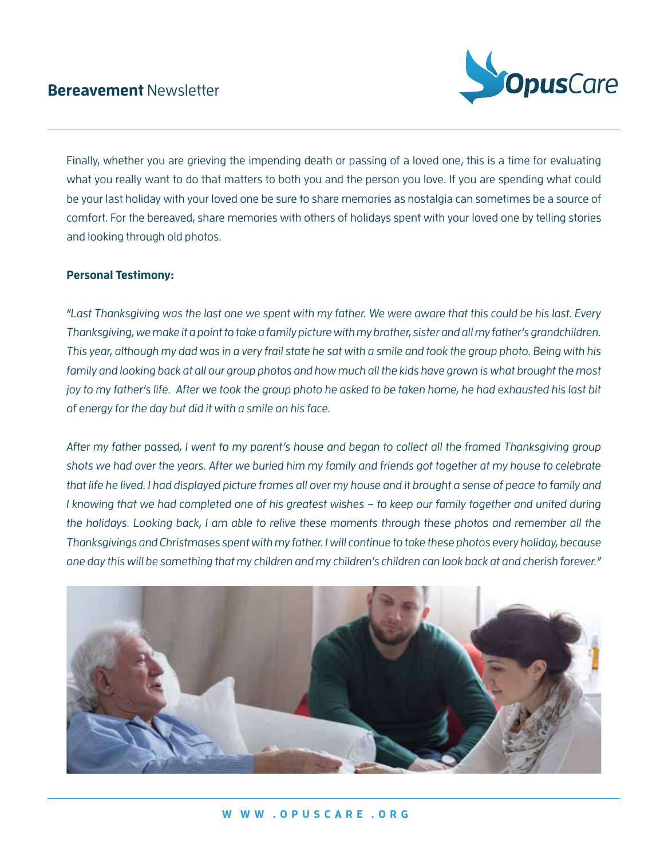#### **Bereavement** Newsletter



Finally, whether you are grieving the impending death or passing of a loved one, this is a time for evaluating what you really want to do that matters to both you and the person you love. If you are spending what could be your last holiday with your loved one be sure to share memories as nostalgia can sometimes be a source of comfort. For the bereaved, share memories with others of holidays spent with your loved one by telling stories and looking through old photos.

#### **Personal Testimony:**

"Last Thanksgiving was the last one we spent with my father. We were aware that this could be his last. Every Thanksgiving, we make it a point to take a family picture with my brother, sister and all my father's grandchildren. This year, although my dad was in a very frail state he sat with a smile and took the group photo. Being with his family and looking back at all our group photos and how much all the kids have grown is what brought the most joy to my father's life. After we took the group photo he asked to be taken home, he had exhausted his last bit of energy for the day but did it with a smile on his face.

After my father passed, I went to my parent's house and began to collect all the framed Thanksgiving group shots we had over the years. After we buried him my family and friends got together at my house to celebrate that life he lived. I had displayed picture frames all over my house and it brought a sense of peace to family and I knowing that we had completed one of his greatest wishes – to keep our family together and united during the holidays. Looking back, I am able to relive these moments through these photos and remember all the Thanksgivings and Christmases spent with my father. I will continue to take these photos every holiday, because one day this will be something that my children and my children's children can look back at and cherish forever."

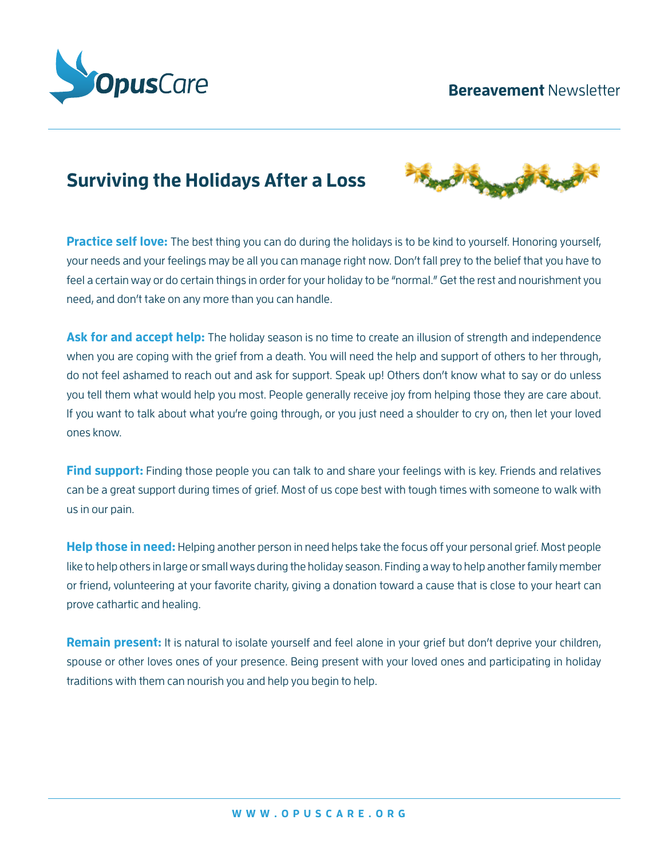#### **Bereavement** Newsletter



# **Surviving the Holidays After a Loss**



**Practice self love:** The best thing you can do during the holidays is to be kind to yourself. Honoring yourself, your needs and your feelings may be all you can manage right now. Don't fall prey to the belief that you have to feel a certain way or do certain things in order for your holiday to be "normal." Get the rest and nourishment you need, and don't take on any more than you can handle.

Ask for and accept help: The holiday season is no time to create an illusion of strength and independence when you are coping with the grief from a death. You will need the help and support of others to her through, do not feel ashamed to reach out and ask for support. Speak up! Others don't know what to say or do unless you tell them what would help you most. People generally receive joy from helping those they are care about. If you want to talk about what you're going through, or you just need a shoulder to cry on, then let your loved ones know.

**Find support:** Finding those people you can talk to and share your feelings with is key. Friends and relatives can be a great support during times of grief. Most of us cope best with tough times with someone to walk with us in our pain.

**Help those in need:** Helping another person in need helps take the focus off your personal grief. Most people like to help others in large or small ways during the holiday season. Finding a way to help another family member or friend, volunteering at your favorite charity, giving a donation toward a cause that is close to your heart can prove cathartic and healing.

**Remain present:** It is natural to isolate yourself and feel alone in your grief but don't deprive your children, spouse or other loves ones of your presence. Being present with your loved ones and participating in holiday traditions with them can nourish you and help you begin to help.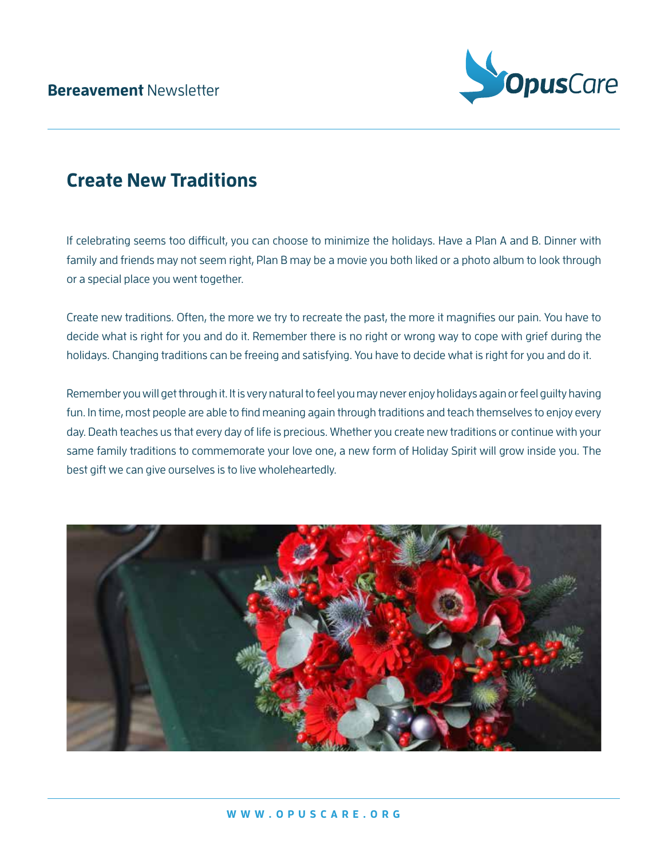

# **Create New Traditions**

If celebrating seems too difficult, you can choose to minimize the holidays. Have a Plan A and B. Dinner with family and friends may not seem right, Plan B may be a movie you both liked or a photo album to look through or a special place you went together.

Create new traditions. Often, the more we try to recreate the past, the more it magnifies our pain. You have to decide what is right for you and do it. Remember there is no right or wrong way to cope with grief during the holidays. Changing traditions can be freeing and satisfying. You have to decide what is right for you and do it.

Remember you will get through it. It is very natural to feel you may never enjoy holidays again or feel guilty having fun. In time, most people are able to find meaning again through traditions and teach themselves to enjoy every day. Death teaches us that every day of life is precious. Whether you create new traditions or continue with your same family traditions to commemorate your love one, a new form of Holiday Spirit will grow inside you. The best gift we can give ourselves is to live wholeheartedly.

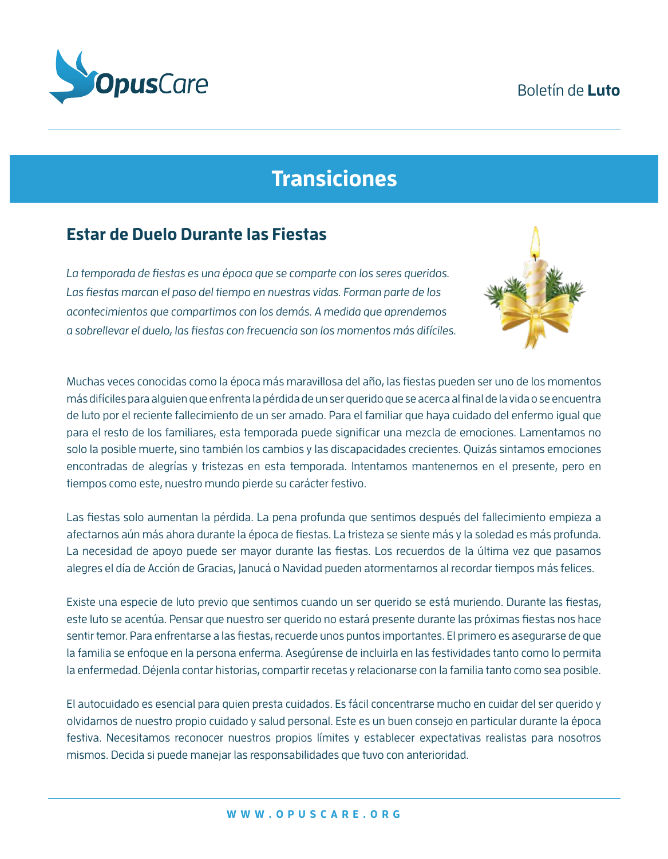### Boletín de **Luto**



# **Transiciones**

### **Estar de Duelo Durante las Fiestas**

La temporada de fiestas es una época que se comparte con los seres queridos. Las fiestas marcan el paso del tiempo en nuestras vidas. Forman parte de los acontecimientos que compartimos con los demás. A medida que aprendemos a sobrellevar el duelo, las fiestas con frecuencia son los momentos más difíciles.



Muchas veces conocidas como la época más maravillosa del año, las fiestas pueden ser uno de los momentos más difíciles para alguien que enfrenta la pérdida de un ser querido que se acerca al final de la vida o se encuentra de luto por el reciente fallecimiento de un ser amado. Para el familiar que haya cuidado del enfermo igual que para el resto de los familiares, esta temporada puede significar una mezcla de emociones. Lamentamos no solo la posible muerte, sino también los cambios y las discapacidades crecientes. Quizás sintamos emociones encontradas de alegrías y tristezas en esta temporada. Intentamos mantenernos en el presente, pero en tiempos como este, nuestro mundo pierde su carácter festivo.

Las fiestas solo aumentan la pérdida. La pena profunda que sentimos después del fallecimiento empieza a afectarnos aún más ahora durante la época de fiestas. La tristeza se siente más y la soledad es más profunda. La necesidad de apoyo puede ser mayor durante las fiestas. Los recuerdos de la última vez que pasamos alegres el día de Acción de Gracias, Janucá o Navidad pueden atormentarnos al recordar tiempos más felices.

Existe una especie de luto previo que sentimos cuando un ser querido se está muriendo. Durante las fiestas, este luto se acentúa. Pensar que nuestro ser querido no estará presente durante las próximas fiestas nos hace sentir temor. Para enfrentarse a las fiestas, recuerde unos puntos importantes. El primero es asegurarse de que la familia se enfoque en la persona enferma. Asegúrense de incluirla en las festividades tanto como lo permita la enfermedad. Déjenla contar historias, compartir recetas y relacionarse con la familia tanto como sea posible.

El autocuidado es esencial para quien presta cuidados. Es fácil concentrarse mucho en cuidar del ser querido y olvidarnos de nuestro propio cuidado y salud personal. Este es un buen consejo en particular durante la época festiva. Necesitamos reconocer nuestros propios límites y establecer expectativas realistas para nosotros mismos. Decida si puede manejar las responsabilidades que tuvo con anterioridad.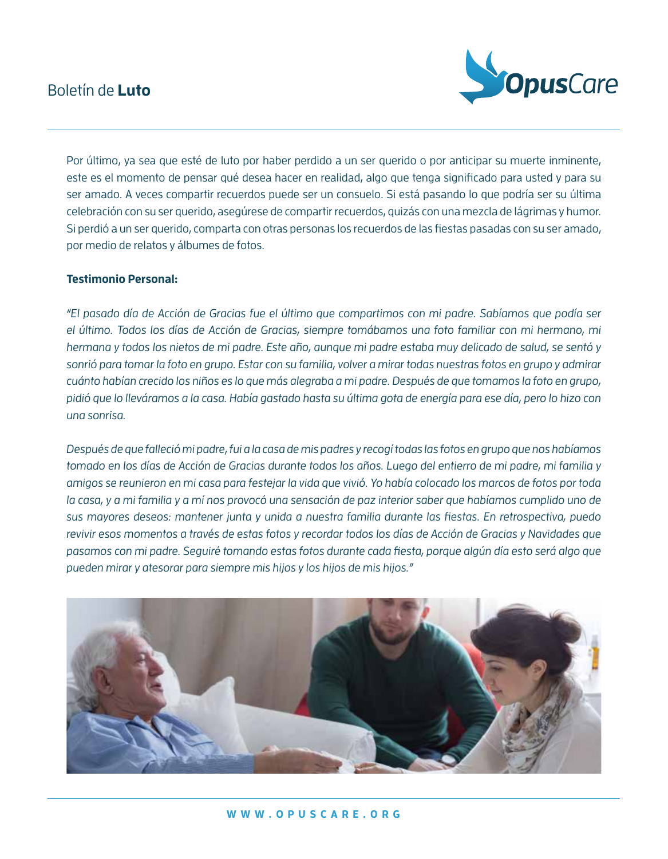#### Boletín de **Luto**



Por último, ya sea que esté de luto por haber perdido a un ser querido o por anticipar su muerte inminente, este es el momento de pensar qué desea hacer en realidad, algo que tenga significado para usted y para su ser amado. A veces compartir recuerdos puede ser un consuelo. Si está pasando lo que podría ser su última celebración con su ser querido, asegúrese de compartir recuerdos, quizás con una mezcla de lágrimas y humor. Si perdió a un ser querido, comparta con otras personas los recuerdos de las fiestas pasadas con su ser amado, por medio de relatos y álbumes de fotos.

#### **Testimonio Personal:**

"El pasado día de Acción de Gracias fue el último que compartimos con mi padre. Sabíamos que podía ser el último. Todos los días de Acción de Gracias, siempre tomábamos una foto familiar con mi hermano, mi hermana y todos los nietos de mi padre. Este año, aunque mi padre estaba muy delicado de salud, se sentó y sonrió para tomar la foto en grupo. Estar con su familia, volver a mirar todas nuestras fotos en grupo y admirar cuánto habían crecido los niños es lo que más alegraba a mi padre. Después de que tomamos la foto en grupo, pidió que lo lleváramos a la casa. Había gastado hasta su última gota de energía para ese día, pero lo hizo con una sonrisa.

Después de que falleció mi padre, fui a la casa de mis padres y recogí todas las fotos en grupo que nos habíamos tomado en los días de Acción de Gracias durante todos los años. Luego del entierro de mi padre, mi familia y amigos se reunieron en mi casa para festejar la vida que vivió. Yo había colocado los marcos de fotos por toda la casa, y a mi familia y a mí nos provocó una sensación de paz interior saber que habíamos cumplido uno de sus mayores deseos: mantener junta y unida a nuestra familia durante las fiestas. En retrospectiva, puedo revivir esos momentos a través de estas fotos y recordar todos los días de Acción de Gracias y Navidades que pasamos con mi padre. Seguiré tomando estas fotos durante cada fiesta, porque algún día esto será algo que pueden mirar y atesorar para siempre mis hijos y los hijos de mis hijos."

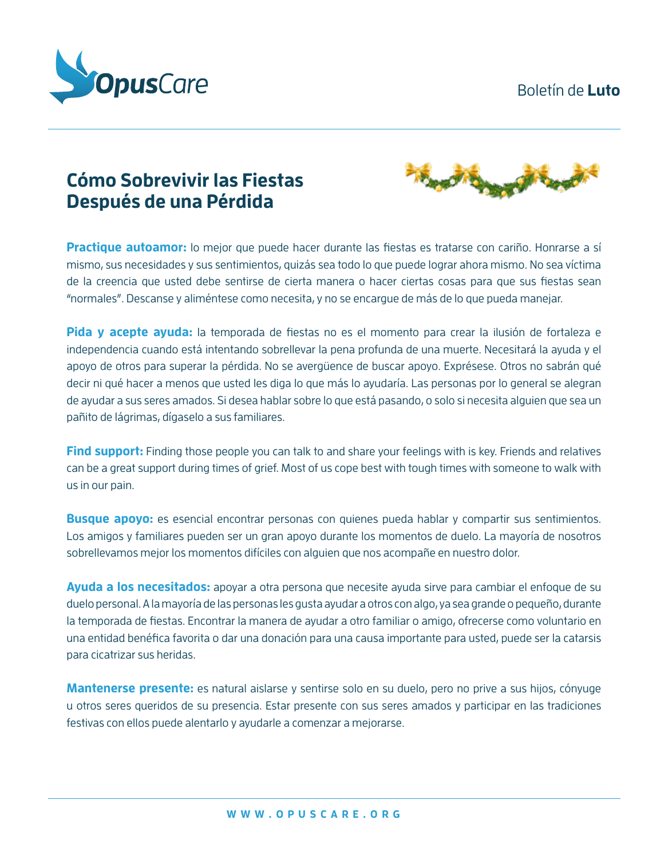#### Boletín de **Luto**



# **Cómo Sobrevivir las Fiestas Después de una Pérdida**



**Practique autoamor:** lo mejor que puede hacer durante las fiestas es tratarse con cariño. Honrarse a sí mismo, sus necesidades y sus sentimientos, quizás sea todo lo que puede lograr ahora mismo. No sea víctima de la creencia que usted debe sentirse de cierta manera o hacer ciertas cosas para que sus fiestas sean "normales". Descanse y aliméntese como necesita, y no se encargue de más de lo que pueda manejar.

**Pida y acepte ayuda:** la temporada de fiestas no es el momento para crear la ilusión de fortaleza e independencia cuando está intentando sobrellevar la pena profunda de una muerte. Necesitará la ayuda y el apoyo de otros para superar la pérdida. No se avergüence de buscar apoyo. Exprésese. Otros no sabrán qué decir ni qué hacer a menos que usted les diga lo que más lo ayudaría. Las personas por lo general se alegran de ayudar a sus seres amados. Si desea hablar sobre lo que está pasando, o solo si necesita alguien que sea un pañito de lágrimas, dígaselo a sus familiares.

**Find support:** Finding those people you can talk to and share your feelings with is key. Friends and relatives can be a great support during times of grief. Most of us cope best with tough times with someone to walk with us in our pain.

**Busque apoyo:** es esencial encontrar personas con quienes pueda hablar y compartir sus sentimientos. Los amigos y familiares pueden ser un gran apoyo durante los momentos de duelo. La mayoría de nosotros sobrellevamos mejor los momentos difíciles con alguien que nos acompañe en nuestro dolor.

**Ayuda a los necesitados:** apoyar a otra persona que necesite ayuda sirve para cambiar el enfoque de su duelo personal. A la mayoría de las personas les gusta ayudar a otros con algo, ya sea grande o pequeño, durante la temporada de fiestas. Encontrar la manera de ayudar a otro familiar o amigo, ofrecerse como voluntario en una entidad benéfica favorita o dar una donación para una causa importante para usted, puede ser la catarsis para cicatrizar sus heridas.

**Mantenerse presente:** es natural aislarse y sentirse solo en su duelo, pero no prive a sus hijos, cónyuge u otros seres queridos de su presencia. Estar presente con sus seres amados y participar en las tradiciones festivas con ellos puede alentarlo y ayudarle a comenzar a mejorarse.